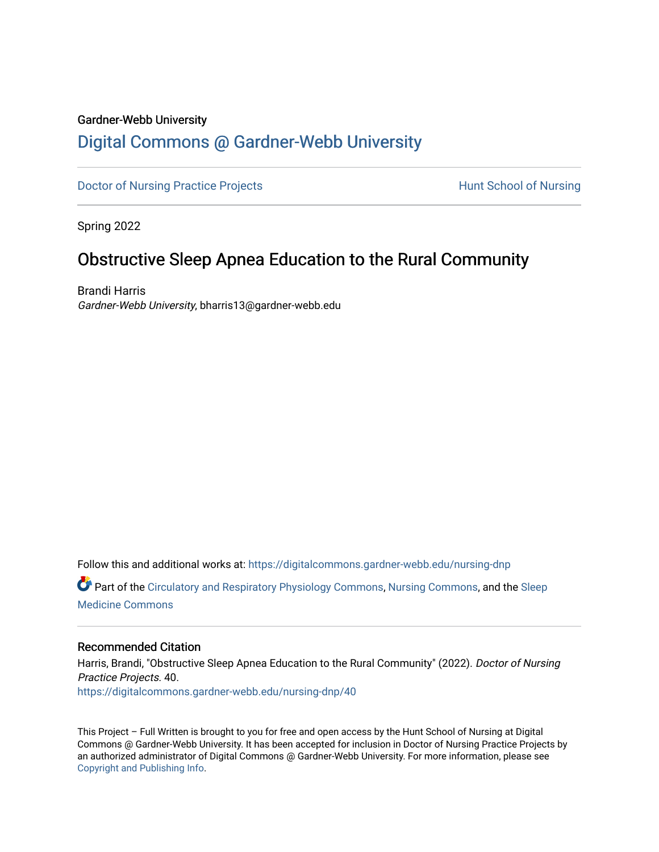## Gardner-Webb University

# [Digital Commons @ Gardner-Webb University](https://digitalcommons.gardner-webb.edu/)

[Doctor of Nursing Practice Projects](https://digitalcommons.gardner-webb.edu/nursing-dnp) **Exercise Exercise Serverse Hunt School of Nursing** 

Spring 2022

# Obstructive Sleep Apnea Education to the Rural Community

Brandi Harris Gardner-Webb University, bharris13@gardner-webb.edu

Follow this and additional works at: [https://digitalcommons.gardner-webb.edu/nursing-dnp](https://digitalcommons.gardner-webb.edu/nursing-dnp?utm_source=digitalcommons.gardner-webb.edu%2Fnursing-dnp%2F40&utm_medium=PDF&utm_campaign=PDFCoverPages) 

Part of the [Circulatory and Respiratory Physiology Commons](https://network.bepress.com/hgg/discipline/947?utm_source=digitalcommons.gardner-webb.edu%2Fnursing-dnp%2F40&utm_medium=PDF&utm_campaign=PDFCoverPages), [Nursing Commons](https://network.bepress.com/hgg/discipline/718?utm_source=digitalcommons.gardner-webb.edu%2Fnursing-dnp%2F40&utm_medium=PDF&utm_campaign=PDFCoverPages), and the Sleep [Medicine Commons](https://network.bepress.com/hgg/discipline/1383?utm_source=digitalcommons.gardner-webb.edu%2Fnursing-dnp%2F40&utm_medium=PDF&utm_campaign=PDFCoverPages)

## Recommended Citation

Harris, Brandi, "Obstructive Sleep Apnea Education to the Rural Community" (2022). Doctor of Nursing Practice Projects. 40. [https://digitalcommons.gardner-webb.edu/nursing-dnp/40](https://digitalcommons.gardner-webb.edu/nursing-dnp/40?utm_source=digitalcommons.gardner-webb.edu%2Fnursing-dnp%2F40&utm_medium=PDF&utm_campaign=PDFCoverPages)

This Project – Full Written is brought to you for free and open access by the Hunt School of Nursing at Digital Commons @ Gardner-Webb University. It has been accepted for inclusion in Doctor of Nursing Practice Projects by an authorized administrator of Digital Commons @ Gardner-Webb University. For more information, please see [Copyright and Publishing Info.](https://digitalcommons.gardner-webb.edu/copyright_publishing.html)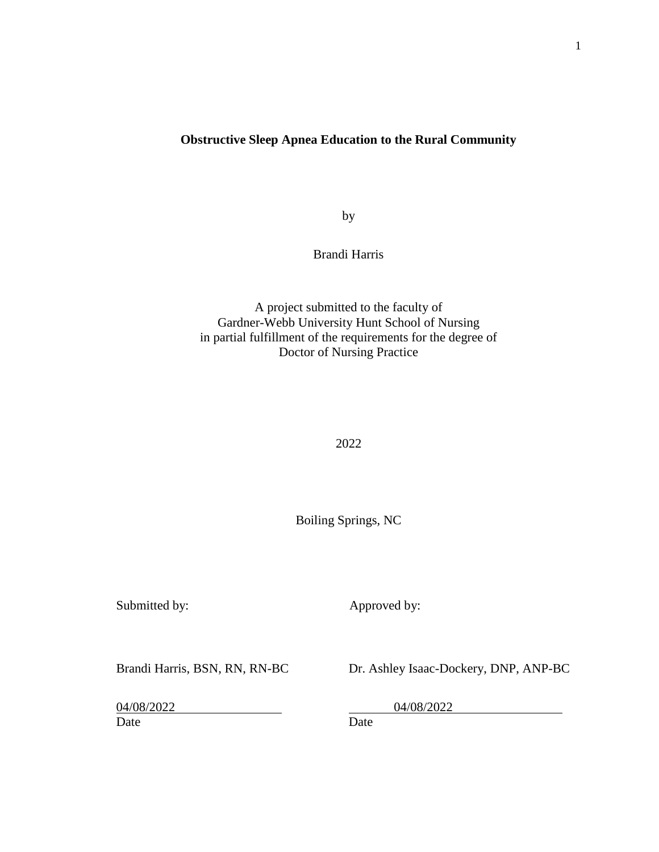# **Obstructive Sleep Apnea Education to the Rural Community**

by

Brandi Harris

A project submitted to the faculty of Gardner-Webb University Hunt School of Nursing in partial fulfillment of the requirements for the degree of Doctor of Nursing Practice

2022

Boiling Springs, NC

Submitted by: Approved by:

Brandi Harris, BSN, RN, RN-BC Dr. Ashley Isaac-Dockery, DNP, ANP-BC

04/08/2022 04/08/2022

Date Date Date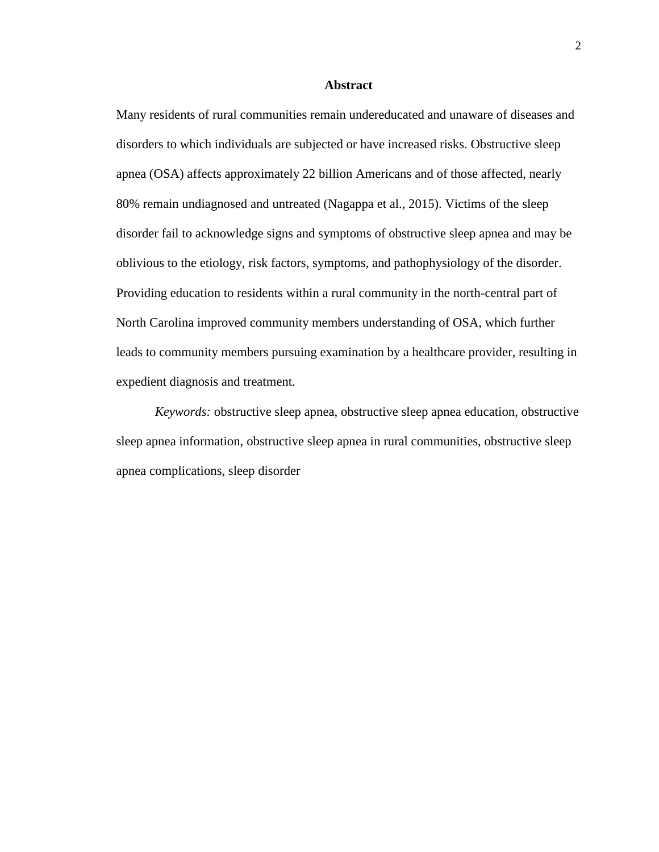#### **Abstract**

Many residents of rural communities remain undereducated and unaware of diseases and disorders to which individuals are subjected or have increased risks. Obstructive sleep apnea (OSA) affects approximately 22 billion Americans and of those affected, nearly 80% remain undiagnosed and untreated (Nagappa et al., 2015). Victims of the sleep disorder fail to acknowledge signs and symptoms of obstructive sleep apnea and may be oblivious to the etiology, risk factors, symptoms, and pathophysiology of the disorder. Providing education to residents within a rural community in the north-central part of North Carolina improved community members understanding of OSA, which further leads to community members pursuing examination by a healthcare provider, resulting in expedient diagnosis and treatment.

*Keywords:* obstructive sleep apnea, obstructive sleep apnea education, obstructive sleep apnea information, obstructive sleep apnea in rural communities, obstructive sleep apnea complications, sleep disorder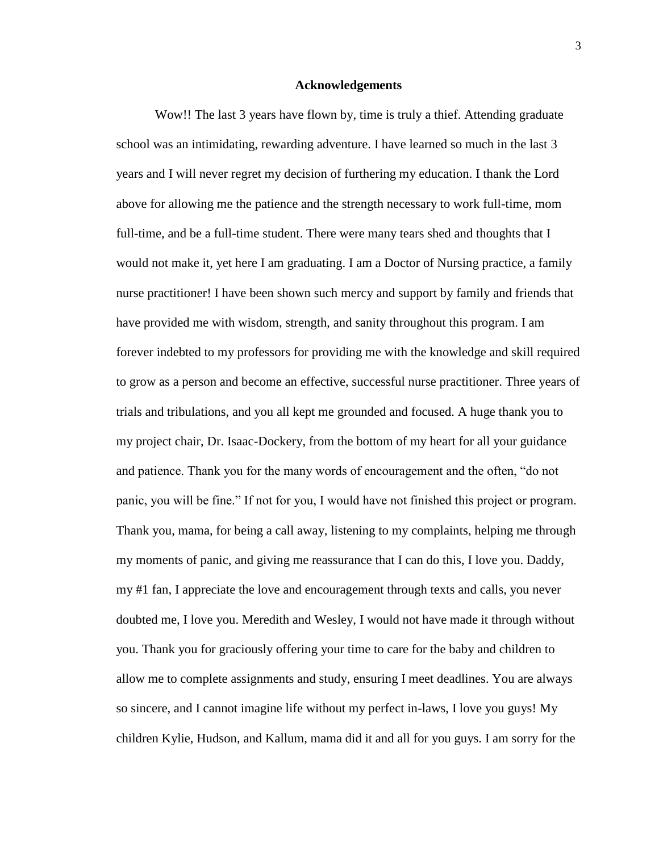#### **Acknowledgements**

Wow!! The last 3 years have flown by, time is truly a thief. Attending graduate school was an intimidating, rewarding adventure. I have learned so much in the last 3 years and I will never regret my decision of furthering my education. I thank the Lord above for allowing me the patience and the strength necessary to work full-time, mom full-time, and be a full-time student. There were many tears shed and thoughts that I would not make it, yet here I am graduating. I am a Doctor of Nursing practice, a family nurse practitioner! I have been shown such mercy and support by family and friends that have provided me with wisdom, strength, and sanity throughout this program. I am forever indebted to my professors for providing me with the knowledge and skill required to grow as a person and become an effective, successful nurse practitioner. Three years of trials and tribulations, and you all kept me grounded and focused. A huge thank you to my project chair, Dr. Isaac-Dockery, from the bottom of my heart for all your guidance and patience. Thank you for the many words of encouragement and the often, "do not panic, you will be fine." If not for you, I would have not finished this project or program. Thank you, mama, for being a call away, listening to my complaints, helping me through my moments of panic, and giving me reassurance that I can do this, I love you. Daddy, my #1 fan, I appreciate the love and encouragement through texts and calls, you never doubted me, I love you. Meredith and Wesley, I would not have made it through without you. Thank you for graciously offering your time to care for the baby and children to allow me to complete assignments and study, ensuring I meet deadlines. You are always so sincere, and I cannot imagine life without my perfect in-laws, I love you guys! My children Kylie, Hudson, and Kallum, mama did it and all for you guys. I am sorry for the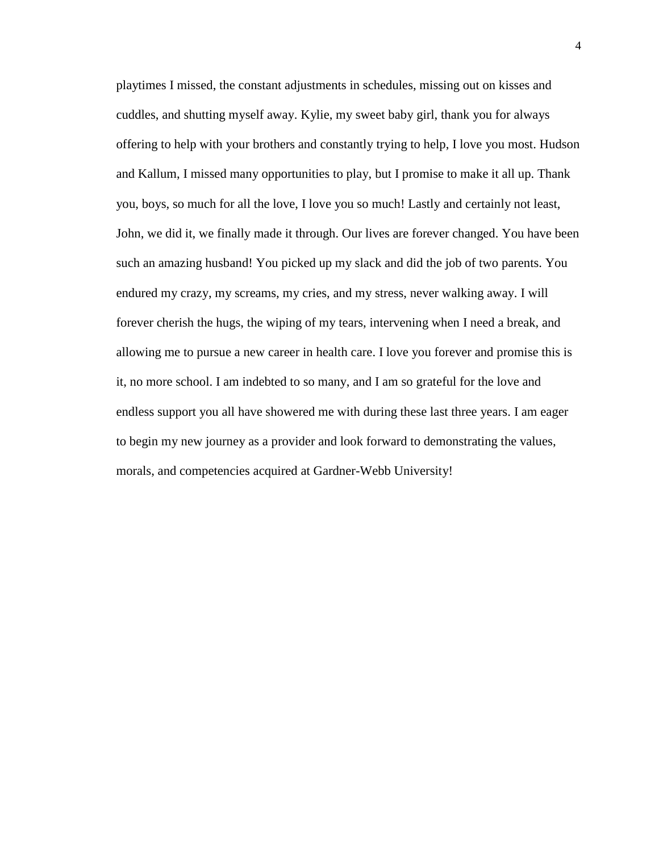playtimes I missed, the constant adjustments in schedules, missing out on kisses and cuddles, and shutting myself away. Kylie, my sweet baby girl, thank you for always offering to help with your brothers and constantly trying to help, I love you most. Hudson and Kallum, I missed many opportunities to play, but I promise to make it all up. Thank you, boys, so much for all the love, I love you so much! Lastly and certainly not least, John, we did it, we finally made it through. Our lives are forever changed. You have been such an amazing husband! You picked up my slack and did the job of two parents. You endured my crazy, my screams, my cries, and my stress, never walking away. I will forever cherish the hugs, the wiping of my tears, intervening when I need a break, and allowing me to pursue a new career in health care. I love you forever and promise this is it, no more school. I am indebted to so many, and I am so grateful for the love and endless support you all have showered me with during these last three years. I am eager to begin my new journey as a provider and look forward to demonstrating the values, morals, and competencies acquired at Gardner-Webb University!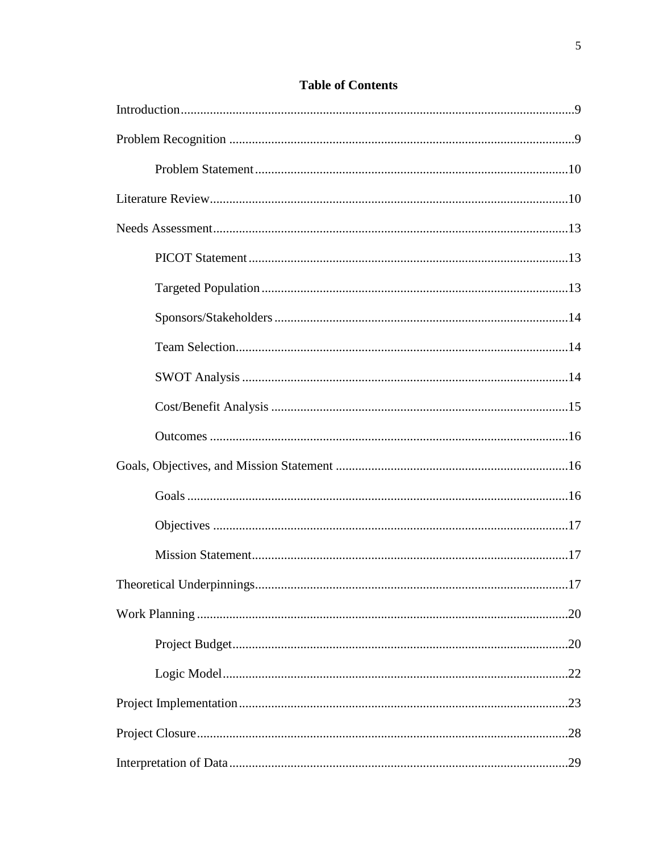# **Table of Contents**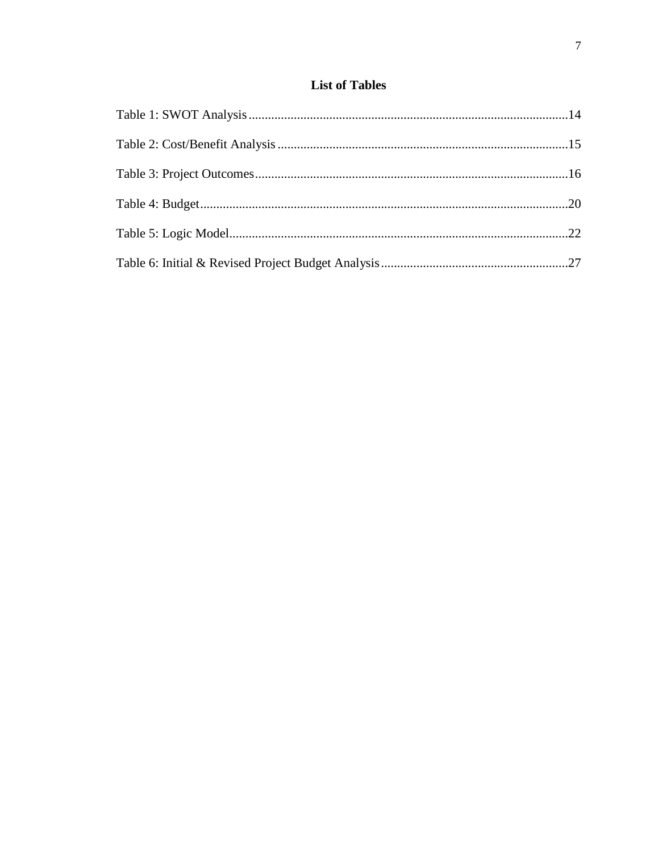# **List of Tables**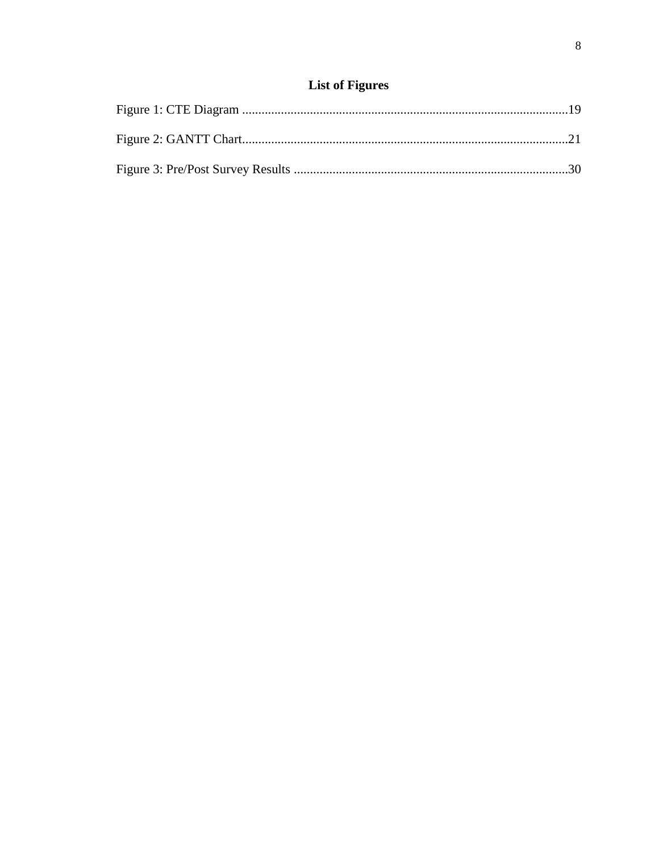# **List of Figures**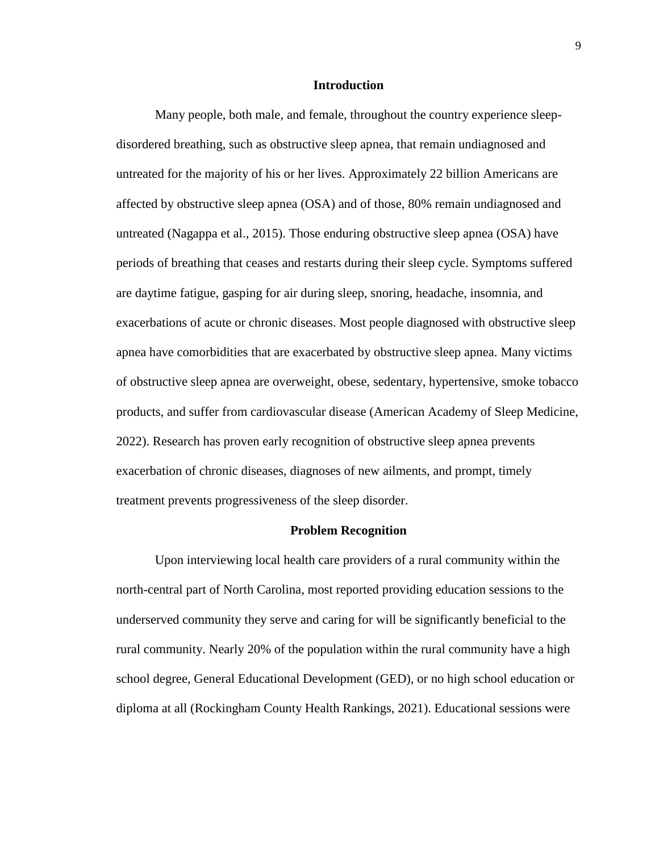#### **Introduction**

Many people, both male, and female, throughout the country experience sleepdisordered breathing, such as obstructive sleep apnea, that remain undiagnosed and untreated for the majority of his or her lives. Approximately 22 billion Americans are affected by obstructive sleep apnea (OSA) and of those, 80% remain undiagnosed and untreated (Nagappa et al., 2015). Those enduring obstructive sleep apnea (OSA) have periods of breathing that ceases and restarts during their sleep cycle. Symptoms suffered are daytime fatigue, gasping for air during sleep, snoring, headache, insomnia, and exacerbations of acute or chronic diseases. Most people diagnosed with obstructive sleep apnea have comorbidities that are exacerbated by obstructive sleep apnea. Many victims of obstructive sleep apnea are overweight, obese, sedentary, hypertensive, smoke tobacco products, and suffer from cardiovascular disease (American Academy of Sleep Medicine, 2022). Research has proven early recognition of obstructive sleep apnea prevents exacerbation of chronic diseases, diagnoses of new ailments, and prompt, timely treatment prevents progressiveness of the sleep disorder.

#### **Problem Recognition**

Upon interviewing local health care providers of a rural community within the north-central part of North Carolina, most reported providing education sessions to the underserved community they serve and caring for will be significantly beneficial to the rural community. Nearly 20% of the population within the rural community have a high school degree, General Educational Development (GED), or no high school education or diploma at all (Rockingham County Health Rankings, 2021). Educational sessions were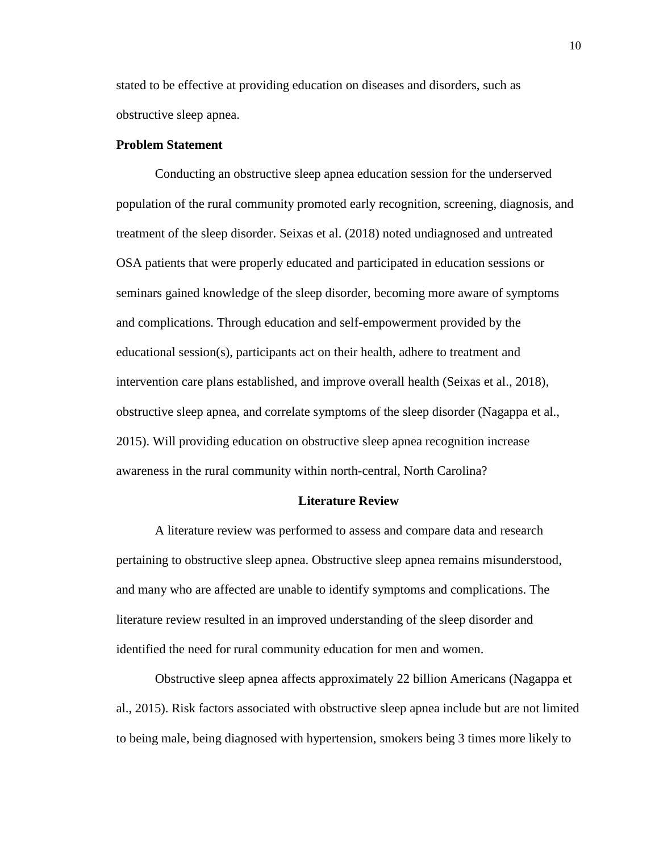stated to be effective at providing education on diseases and disorders, such as obstructive sleep apnea.

### **Problem Statement**

Conducting an obstructive sleep apnea education session for the underserved population of the rural community promoted early recognition, screening, diagnosis, and treatment of the sleep disorder. Seixas et al. (2018) noted undiagnosed and untreated OSA patients that were properly educated and participated in education sessions or seminars gained knowledge of the sleep disorder, becoming more aware of symptoms and complications. Through education and self-empowerment provided by the educational session(s), participants act on their health, adhere to treatment and intervention care plans established, and improve overall health (Seixas et al., 2018), obstructive sleep apnea, and correlate symptoms of the sleep disorder (Nagappa et al., 2015). Will providing education on obstructive sleep apnea recognition increase awareness in the rural community within north-central, North Carolina?

### **Literature Review**

A literature review was performed to assess and compare data and research pertaining to obstructive sleep apnea. Obstructive sleep apnea remains misunderstood, and many who are affected are unable to identify symptoms and complications. The literature review resulted in an improved understanding of the sleep disorder and identified the need for rural community education for men and women.

Obstructive sleep apnea affects approximately 22 billion Americans (Nagappa et al., 2015). Risk factors associated with obstructive sleep apnea include but are not limited to being male, being diagnosed with hypertension, smokers being 3 times more likely to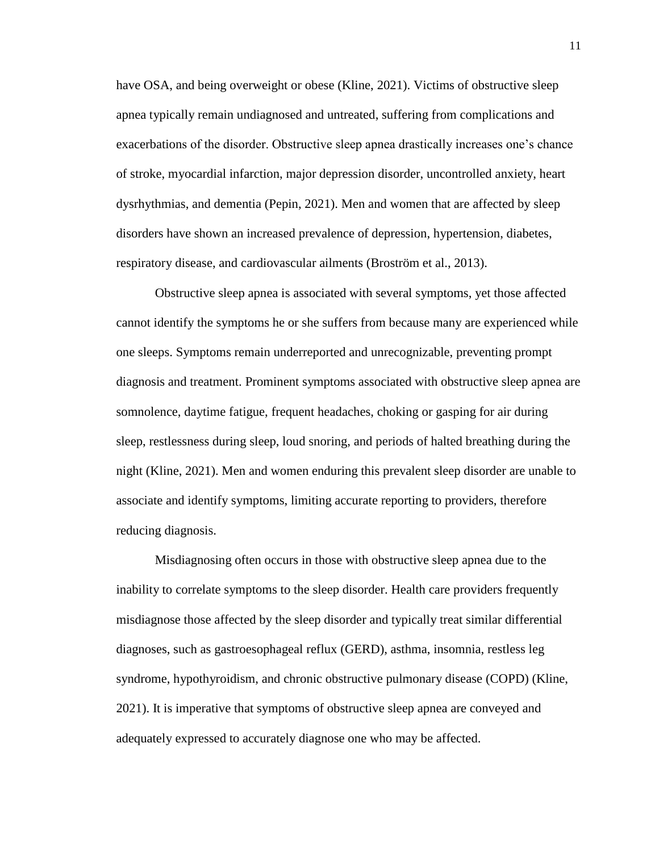have OSA, and being overweight or obese (Kline, 2021). Victims of obstructive sleep apnea typically remain undiagnosed and untreated, suffering from complications and exacerbations of the disorder. Obstructive sleep apnea drastically increases one's chance of stroke, myocardial infarction, major depression disorder, uncontrolled anxiety, heart dysrhythmias, and dementia (Pepin, 2021). Men and women that are affected by sleep disorders have shown an increased prevalence of depression, hypertension, diabetes, respiratory disease, and cardiovascular ailments (Broström et al., 2013).

Obstructive sleep apnea is associated with several symptoms, yet those affected cannot identify the symptoms he or she suffers from because many are experienced while one sleeps. Symptoms remain underreported and unrecognizable, preventing prompt diagnosis and treatment. Prominent symptoms associated with obstructive sleep apnea are somnolence, daytime fatigue, frequent headaches, choking or gasping for air during sleep, restlessness during sleep, loud snoring, and periods of halted breathing during the night (Kline, 2021). Men and women enduring this prevalent sleep disorder are unable to associate and identify symptoms, limiting accurate reporting to providers, therefore reducing diagnosis.

Misdiagnosing often occurs in those with obstructive sleep apnea due to the inability to correlate symptoms to the sleep disorder. Health care providers frequently misdiagnose those affected by the sleep disorder and typically treat similar differential diagnoses, such as gastroesophageal reflux (GERD), asthma, insomnia, restless leg syndrome, hypothyroidism, and chronic obstructive pulmonary disease (COPD) (Kline, 2021). It is imperative that symptoms of obstructive sleep apnea are conveyed and adequately expressed to accurately diagnose one who may be affected.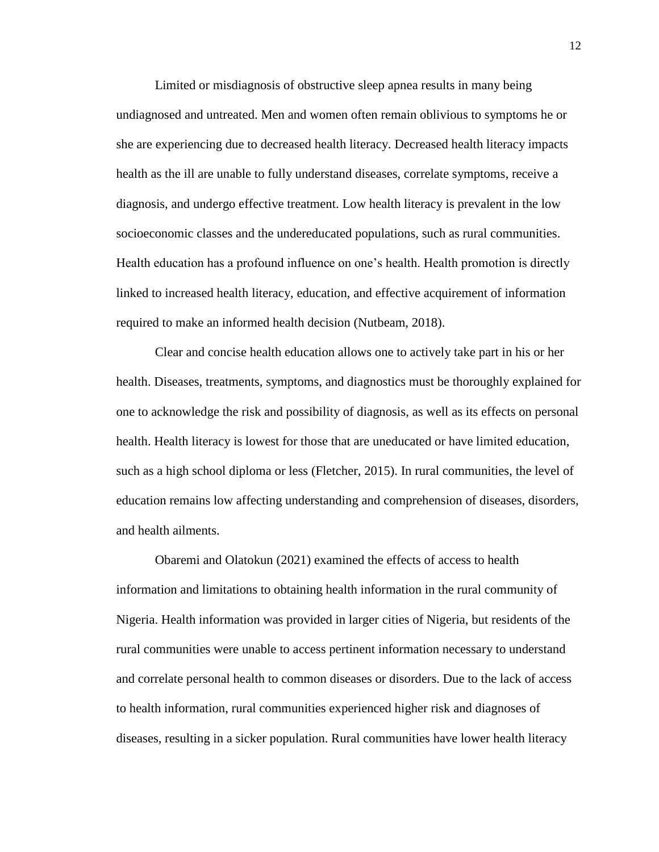Limited or misdiagnosis of obstructive sleep apnea results in many being undiagnosed and untreated. Men and women often remain oblivious to symptoms he or she are experiencing due to decreased health literacy. Decreased health literacy impacts health as the ill are unable to fully understand diseases, correlate symptoms, receive a diagnosis, and undergo effective treatment. Low health literacy is prevalent in the low socioeconomic classes and the undereducated populations, such as rural communities. Health education has a profound influence on one's health. Health promotion is directly linked to increased health literacy, education, and effective acquirement of information required to make an informed health decision (Nutbeam, 2018).

Clear and concise health education allows one to actively take part in his or her health. Diseases, treatments, symptoms, and diagnostics must be thoroughly explained for one to acknowledge the risk and possibility of diagnosis, as well as its effects on personal health. Health literacy is lowest for those that are uneducated or have limited education, such as a high school diploma or less (Fletcher, 2015). In rural communities, the level of education remains low affecting understanding and comprehension of diseases, disorders, and health ailments.

Obaremi and Olatokun (2021) examined the effects of access to health information and limitations to obtaining health information in the rural community of Nigeria. Health information was provided in larger cities of Nigeria, but residents of the rural communities were unable to access pertinent information necessary to understand and correlate personal health to common diseases or disorders. Due to the lack of access to health information, rural communities experienced higher risk and diagnoses of diseases, resulting in a sicker population. Rural communities have lower health literacy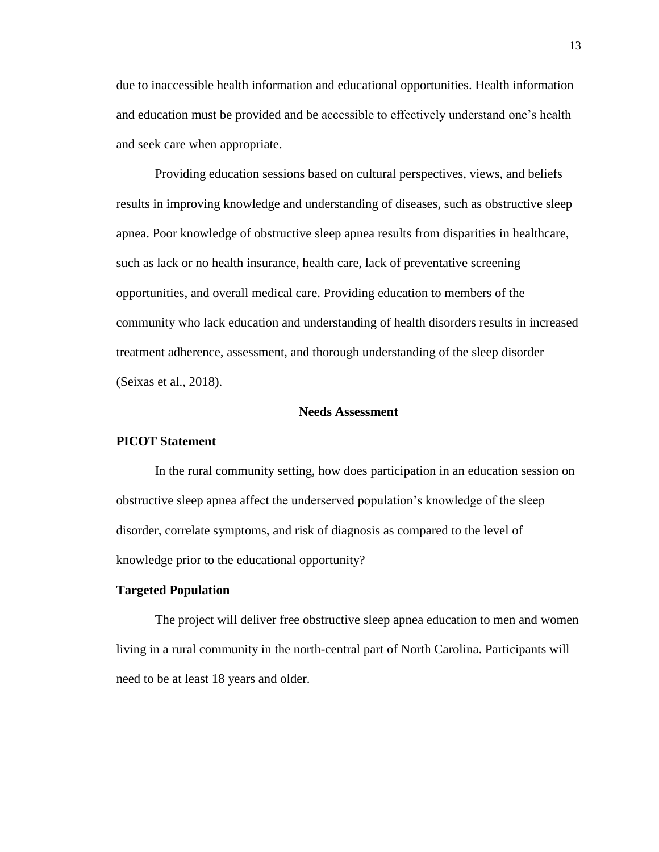due to inaccessible health information and educational opportunities. Health information and education must be provided and be accessible to effectively understand one's health and seek care when appropriate.

Providing education sessions based on cultural perspectives, views, and beliefs results in improving knowledge and understanding of diseases, such as obstructive sleep apnea. Poor knowledge of obstructive sleep apnea results from disparities in healthcare, such as lack or no health insurance, health care, lack of preventative screening opportunities, and overall medical care. Providing education to members of the community who lack education and understanding of health disorders results in increased treatment adherence, assessment, and thorough understanding of the sleep disorder (Seixas et al., 2018).

#### **Needs Assessment**

#### **PICOT Statement**

In the rural community setting, how does participation in an education session on obstructive sleep apnea affect the underserved population's knowledge of the sleep disorder, correlate symptoms, and risk of diagnosis as compared to the level of knowledge prior to the educational opportunity?

### **Targeted Population**

The project will deliver free obstructive sleep apnea education to men and women living in a rural community in the north-central part of North Carolina. Participants will need to be at least 18 years and older.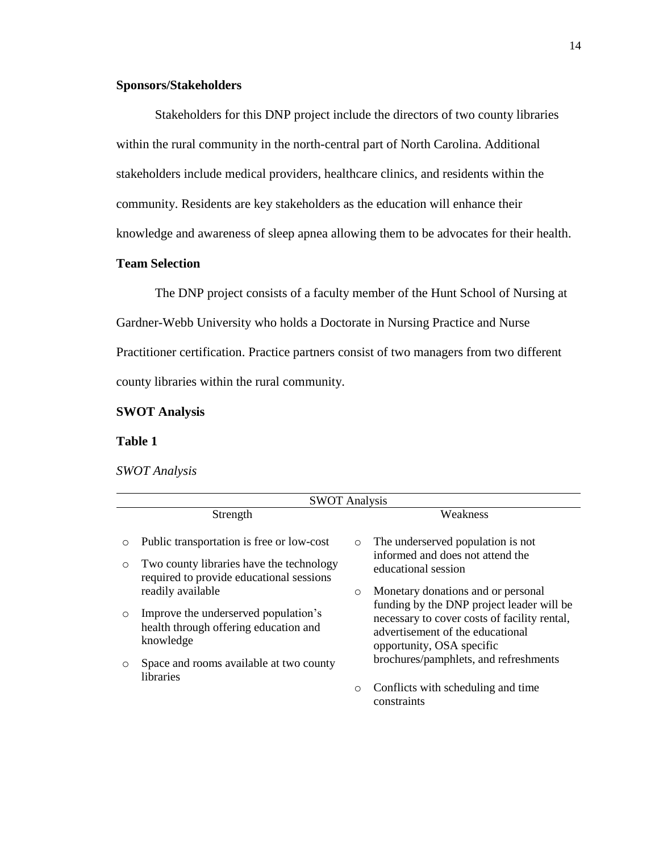### **Sponsors/Stakeholders**

Stakeholders for this DNP project include the directors of two county libraries within the rural community in the north-central part of North Carolina. Additional stakeholders include medical providers, healthcare clinics, and residents within the community. Residents are key stakeholders as the education will enhance their knowledge and awareness of sleep apnea allowing them to be advocates for their health.

## **Team Selection**

The DNP project consists of a faculty member of the Hunt School of Nursing at Gardner-Webb University who holds a Doctorate in Nursing Practice and Nurse Practitioner certification. Practice partners consist of two managers from two different county libraries within the rural community.

### **SWOT Analysis**

### **Table 1**

#### *SWOT Analysis*

|                    | <b>SWOT Analysis</b>                                                                                                                                       |         |                                                                                                                                                                                                                                           |  |  |  |  |
|--------------------|------------------------------------------------------------------------------------------------------------------------------------------------------------|---------|-------------------------------------------------------------------------------------------------------------------------------------------------------------------------------------------------------------------------------------------|--|--|--|--|
|                    | Strength                                                                                                                                                   |         | Weakness                                                                                                                                                                                                                                  |  |  |  |  |
| $\circ$<br>$\circ$ | Public transportation is free or low-cost<br>Two county libraries have the technology<br>required to provide educational sessions                          | $\circ$ | The underserved population is not<br>informed and does not attend the<br>educational session                                                                                                                                              |  |  |  |  |
| $\circ$<br>O       | readily available<br>Improve the underserved population's<br>health through offering education and<br>knowledge<br>Space and rooms available at two county | $\circ$ | Monetary donations and or personal<br>funding by the DNP project leader will be<br>necessary to cover costs of facility rental,<br>advertisement of the educational<br>opportunity, OSA specific<br>brochures/pamphlets, and refreshments |  |  |  |  |
|                    | <i>libraries</i>                                                                                                                                           | $\circ$ | Conflicts with scheduling and time<br>constraints                                                                                                                                                                                         |  |  |  |  |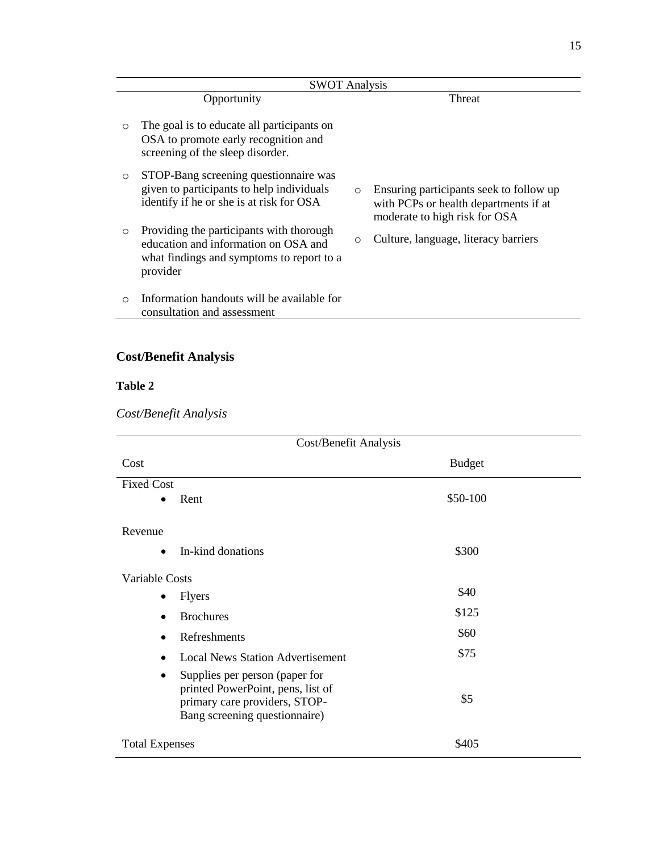|         | <b>SWOT Analysis</b>                                                                                                                      |         |                                                                                                                   |  |  |  |  |  |
|---------|-------------------------------------------------------------------------------------------------------------------------------------------|---------|-------------------------------------------------------------------------------------------------------------------|--|--|--|--|--|
|         | Opportunity                                                                                                                               |         | Threat                                                                                                            |  |  |  |  |  |
| $\circ$ | The goal is to educate all participants on<br>OSA to promote early recognition and<br>screening of the sleep disorder.                    |         |                                                                                                                   |  |  |  |  |  |
| $\circ$ | STOP-Bang screening questionnaire was<br>given to participants to help individuals<br>identify if he or she is at risk for OSA            | $\circ$ | Ensuring participants seek to follow up<br>with PCPs or health departments if at<br>moderate to high risk for OSA |  |  |  |  |  |
| $\circ$ | Providing the participants with thorough<br>education and information on OSA and<br>what findings and symptoms to report to a<br>provider | $\circ$ | Culture, language, literacy barriers                                                                              |  |  |  |  |  |
| $\circ$ | Information handouts will be available for<br>consultation and assessment                                                                 |         |                                                                                                                   |  |  |  |  |  |

# **Cost/Benefit Analysis**

# **Table 2**

*Cost/Benefit Analysis*

| Cost/Benefit Analysis                                                                                                                      |               |  |  |  |  |  |
|--------------------------------------------------------------------------------------------------------------------------------------------|---------------|--|--|--|--|--|
| Cost                                                                                                                                       | <b>Budget</b> |  |  |  |  |  |
| <b>Fixed Cost</b>                                                                                                                          |               |  |  |  |  |  |
| Rent<br>$\bullet$                                                                                                                          | \$50-100      |  |  |  |  |  |
| Revenue                                                                                                                                    |               |  |  |  |  |  |
| In-kind donations<br>$\bullet$                                                                                                             | \$300         |  |  |  |  |  |
| Variable Costs                                                                                                                             |               |  |  |  |  |  |
| <b>Flyers</b><br>$\bullet$                                                                                                                 | \$40          |  |  |  |  |  |
| <b>Brochures</b><br>$\bullet$                                                                                                              | \$125         |  |  |  |  |  |
| Refreshments<br>$\bullet$                                                                                                                  | \$60          |  |  |  |  |  |
| <b>Local News Station Advertisement</b><br>$\bullet$                                                                                       | \$75          |  |  |  |  |  |
| Supplies per person (paper for<br>٠<br>printed PowerPoint, pens, list of<br>primary care providers, STOP-<br>Bang screening questionnaire) | \$5           |  |  |  |  |  |
| <b>Total Expenses</b>                                                                                                                      | \$405         |  |  |  |  |  |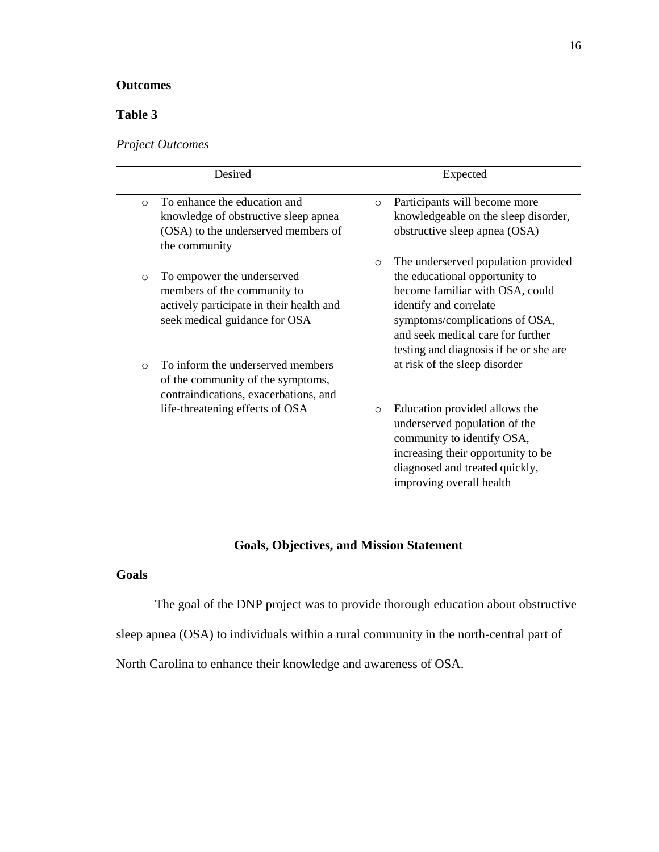# **Outcomes**

# **Table 3**

*Project Outcomes*

|         | Desired                                                                                                                                            |         | Expected                                                                                                                                                                                                                                            |
|---------|----------------------------------------------------------------------------------------------------------------------------------------------------|---------|-----------------------------------------------------------------------------------------------------------------------------------------------------------------------------------------------------------------------------------------------------|
| $\circ$ | To enhance the education and<br>knowledge of obstructive sleep apnea<br>(OSA) to the underserved members of<br>the community                       | $\circ$ | Participants will become more<br>knowledgeable on the sleep disorder,<br>obstructive sleep apnea (OSA)                                                                                                                                              |
| $\circ$ | To empower the underserved<br>members of the community to<br>actively participate in their health and<br>seek medical guidance for OSA             | $\circ$ | The underserved population provided<br>the educational opportunity to<br>become familiar with OSA, could<br>identify and correlate<br>symptoms/complications of OSA,<br>and seek medical care for further<br>testing and diagnosis if he or she are |
| $\circ$ | To inform the underserved members<br>of the community of the symptoms,<br>contraindications, exacerbations, and<br>life-threatening effects of OSA | $\circ$ | at risk of the sleep disorder<br>Education provided allows the<br>underserved population of the<br>community to identify OSA,<br>increasing their opportunity to be<br>diagnosed and treated quickly,<br>improving overall health                   |

# **Goals, Objectives, and Mission Statement**

# **Goals**

The goal of the DNP project was to provide thorough education about obstructive

sleep apnea (OSA) to individuals within a rural community in the north-central part of

North Carolina to enhance their knowledge and awareness of OSA.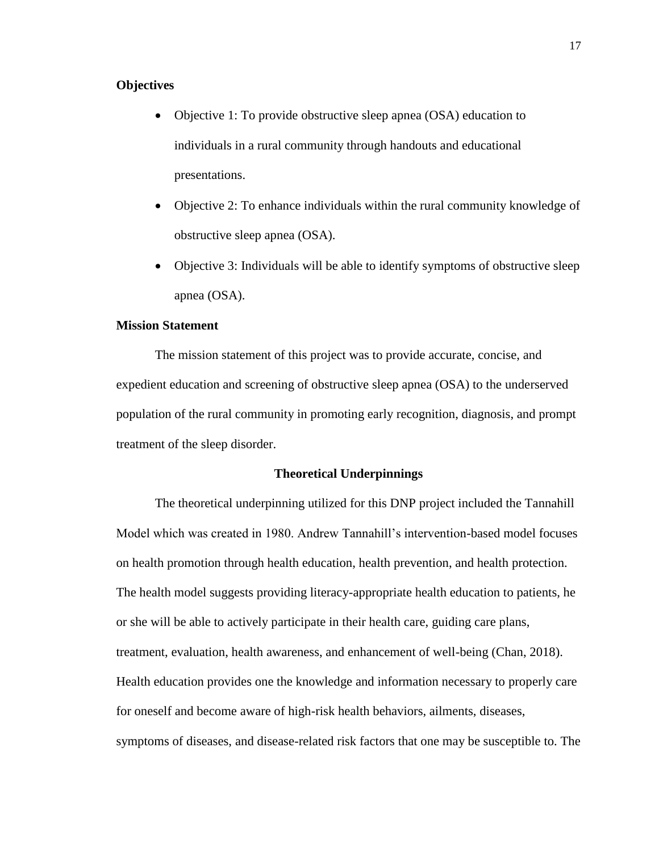### **Objectives**

- Objective 1: To provide obstructive sleep apnea (OSA) education to individuals in a rural community through handouts and educational presentations.
- Objective 2: To enhance individuals within the rural community knowledge of obstructive sleep apnea (OSA).
- Objective 3: Individuals will be able to identify symptoms of obstructive sleep apnea (OSA).

## **Mission Statement**

The mission statement of this project was to provide accurate, concise, and expedient education and screening of obstructive sleep apnea (OSA) to the underserved population of the rural community in promoting early recognition, diagnosis, and prompt treatment of the sleep disorder.

### **Theoretical Underpinnings**

The theoretical underpinning utilized for this DNP project included the Tannahill Model which was created in 1980. Andrew Tannahill's intervention-based model focuses on health promotion through health education, health prevention, and health protection. The health model suggests providing literacy-appropriate health education to patients, he or she will be able to actively participate in their health care, guiding care plans, treatment, evaluation, health awareness, and enhancement of well-being (Chan, 2018). Health education provides one the knowledge and information necessary to properly care for oneself and become aware of high-risk health behaviors, ailments, diseases, symptoms of diseases, and disease-related risk factors that one may be susceptible to. The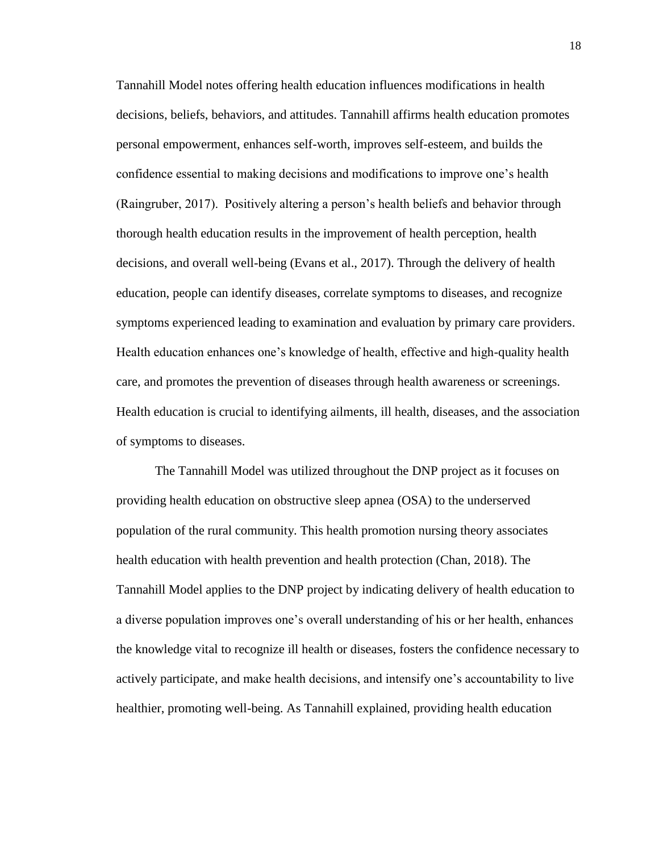Tannahill Model notes offering health education influences modifications in health decisions, beliefs, behaviors, and attitudes. Tannahill affirms health education promotes personal empowerment, enhances self-worth, improves self-esteem, and builds the confidence essential to making decisions and modifications to improve one's health (Raingruber, 2017). Positively altering a person's health beliefs and behavior through thorough health education results in the improvement of health perception, health decisions, and overall well-being (Evans et al., 2017). Through the delivery of health education, people can identify diseases, correlate symptoms to diseases, and recognize symptoms experienced leading to examination and evaluation by primary care providers. Health education enhances one's knowledge of health, effective and high-quality health care, and promotes the prevention of diseases through health awareness or screenings. Health education is crucial to identifying ailments, ill health, diseases, and the association of symptoms to diseases.

The Tannahill Model was utilized throughout the DNP project as it focuses on providing health education on obstructive sleep apnea (OSA) to the underserved population of the rural community. This health promotion nursing theory associates health education with health prevention and health protection (Chan, 2018). The Tannahill Model applies to the DNP project by indicating delivery of health education to a diverse population improves one's overall understanding of his or her health, enhances the knowledge vital to recognize ill health or diseases, fosters the confidence necessary to actively participate, and make health decisions, and intensify one's accountability to live healthier, promoting well-being. As Tannahill explained, providing health education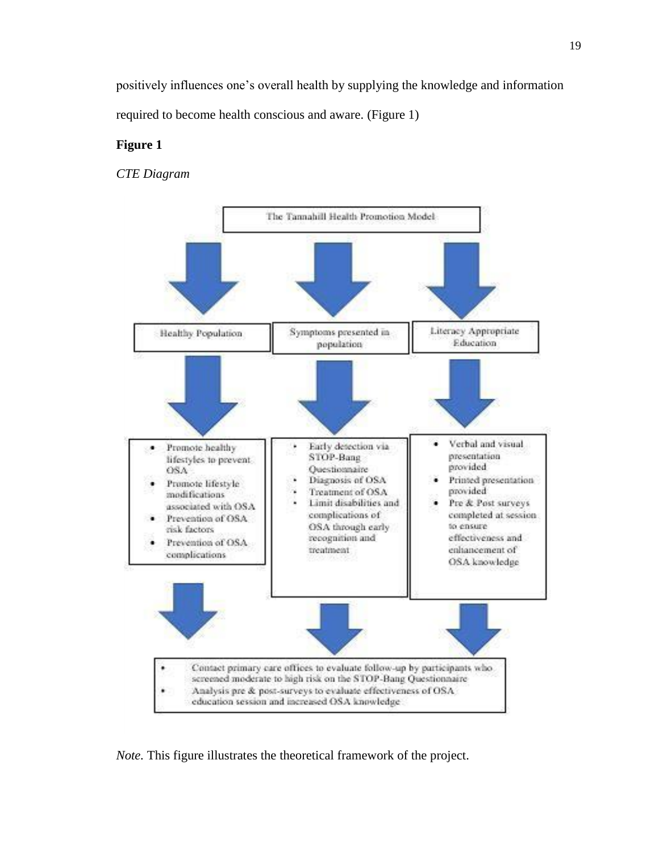positively influences one's overall health by supplying the knowledge and information required to become health conscious and aware. (Figure 1)

## **Figure 1**

*CTE Diagram* 



*Note.* This figure illustrates the theoretical framework of the project.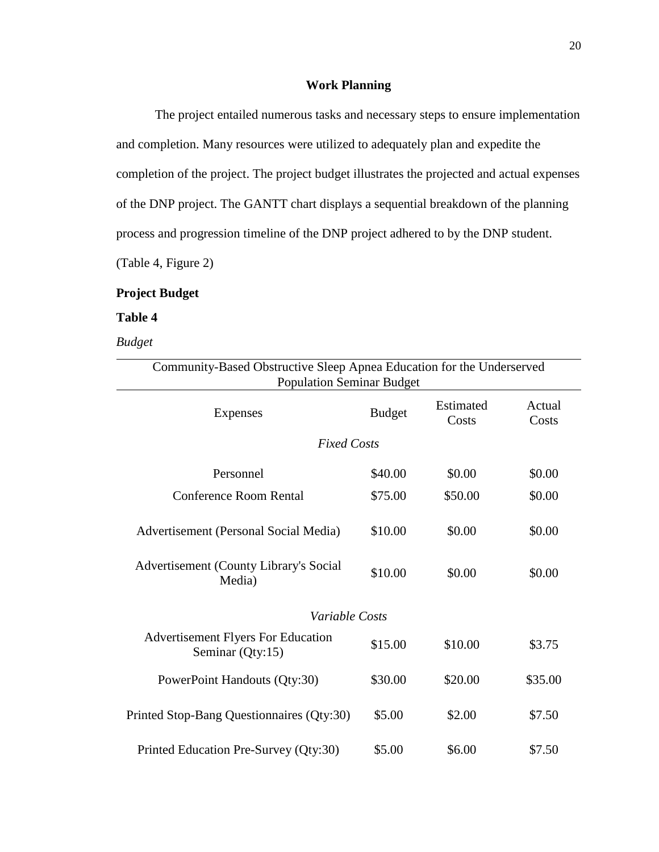### **Work Planning**

The project entailed numerous tasks and necessary steps to ensure implementation and completion. Many resources were utilized to adequately plan and expedite the completion of the project. The project budget illustrates the projected and actual expenses of the DNP project. The GANTT chart displays a sequential breakdown of the planning process and progression timeline of the DNP project adhered to by the DNP student. (Table 4, Figure 2)

### **Project Budget**

#### **Table 4**

### *Budget*

| Community-Based Obstructive Sleep Apnea Education for the Underserved<br><b>Population Seminar Budget</b> |                    |                    |                 |  |  |  |  |  |
|-----------------------------------------------------------------------------------------------------------|--------------------|--------------------|-----------------|--|--|--|--|--|
| Expenses                                                                                                  | <b>Budget</b>      | Estimated<br>Costs | Actual<br>Costs |  |  |  |  |  |
|                                                                                                           | <b>Fixed Costs</b> |                    |                 |  |  |  |  |  |
| Personnel                                                                                                 | \$40.00            | \$0.00             | \$0.00          |  |  |  |  |  |
| Conference Room Rental                                                                                    | \$75.00            | \$50.00            | \$0.00          |  |  |  |  |  |
| Advertisement (Personal Social Media)                                                                     | \$10.00            | \$0.00             | \$0.00          |  |  |  |  |  |
| <b>Advertisement (County Library's Social</b><br>Media)                                                   | \$10.00            | \$0.00             | \$0.00          |  |  |  |  |  |
| <i>Variable Costs</i>                                                                                     |                    |                    |                 |  |  |  |  |  |
| <b>Advertisement Flyers For Education</b><br>Seminar (Qty:15)                                             | \$15.00            | \$10.00            | \$3.75          |  |  |  |  |  |
| PowerPoint Handouts (Qty:30)                                                                              | \$30.00            | \$20.00            | \$35.00         |  |  |  |  |  |
| Printed Stop-Bang Questionnaires (Qty:30)                                                                 | \$5.00             | \$2.00             | \$7.50          |  |  |  |  |  |
| Printed Education Pre-Survey (Qty:30)                                                                     | \$5.00             | \$6.00             | \$7.50          |  |  |  |  |  |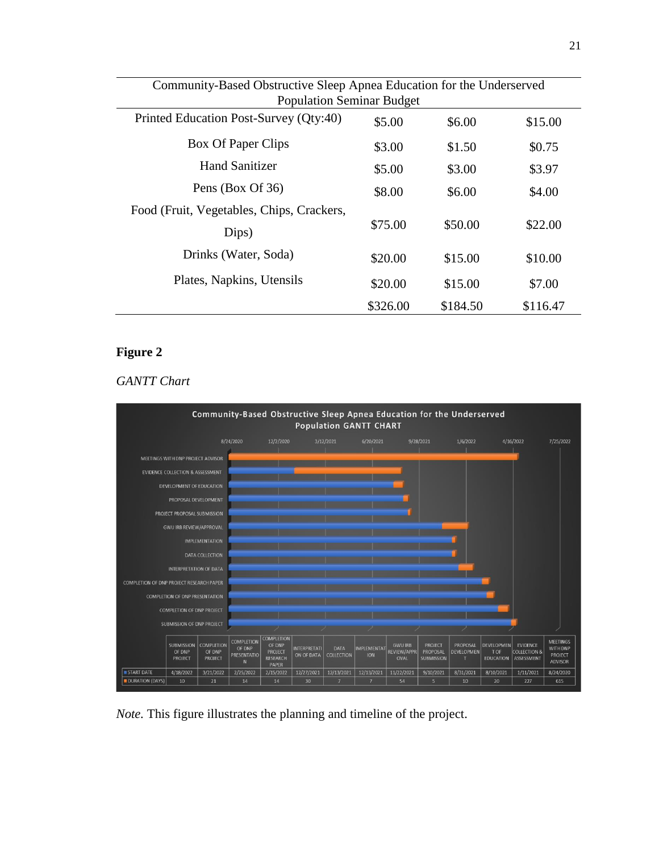| Community-Based Obstructive Sleep Apnea Education for the Underserved |          |          |          |  |  |  |
|-----------------------------------------------------------------------|----------|----------|----------|--|--|--|
| <b>Population Seminar Budget</b>                                      |          |          |          |  |  |  |
| Printed Education Post-Survey (Qty:40)                                | \$5.00   | \$6.00   | \$15.00  |  |  |  |
| Box Of Paper Clips                                                    | \$3.00   | \$1.50   | \$0.75   |  |  |  |
| <b>Hand Sanitizer</b>                                                 | \$5.00   | \$3.00   | \$3.97   |  |  |  |
| Pens (Box Of 36)                                                      | \$8.00   | \$6.00   | \$4.00   |  |  |  |
| Food (Fruit, Vegetables, Chips, Crackers,                             |          |          |          |  |  |  |
| Dips)                                                                 | \$75.00  | \$50.00  | \$22.00  |  |  |  |
| Drinks (Water, Soda)                                                  | \$20.00  | \$15.00  | \$10.00  |  |  |  |
| Plates, Napkins, Utensils                                             | \$20.00  | \$15.00  | \$7.00   |  |  |  |
|                                                                       | \$326.00 | \$184.50 | \$116.47 |  |  |  |

# **Figure 2**

# *GANTT Chart*



*Note.* This figure illustrates the planning and timeline of the project.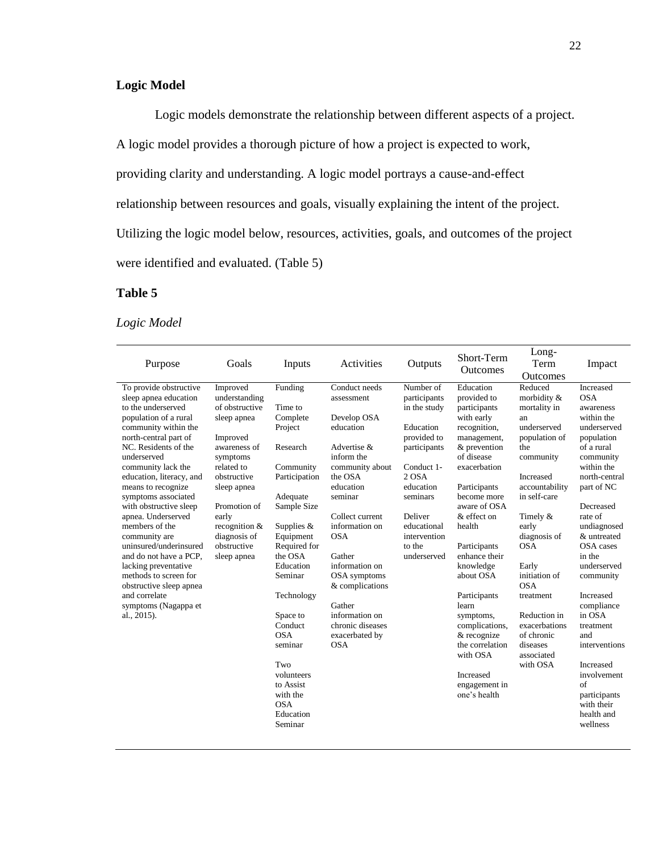# **Logic Model**

Logic models demonstrate the relationship between different aspects of a project.

A logic model provides a thorough picture of how a project is expected to work,

providing clarity and understanding. A logic model portrays a cause-and-effect

relationship between resources and goals, visually explaining the intent of the project.

Utilizing the logic model below, resources, activities, goals, and outcomes of the project

were identified and evaluated. (Table 5)

## **Table 5**

# *Logic Model*

| Purpose                                                                                                                                                                                                                                                                                                                                                                                                                                                                                                                                                          | Goals                                                                                                                                                                                                                                    | Inputs                                                                                                                                                                                                                                                                                                                                           | Activities                                                                                                                                                                                                                                                                                                                                   | Outputs                                                                                                                                                                                                  | Short-Term<br><b>Outcomes</b>                                                                                                                                                                                                                                                                                                                                                                                              | Long-<br>Term                                                                                                                                                                                                                                                                                                                                                   | Impact                                                                                                                                                                                                                                                                                                                                                                                                                               |
|------------------------------------------------------------------------------------------------------------------------------------------------------------------------------------------------------------------------------------------------------------------------------------------------------------------------------------------------------------------------------------------------------------------------------------------------------------------------------------------------------------------------------------------------------------------|------------------------------------------------------------------------------------------------------------------------------------------------------------------------------------------------------------------------------------------|--------------------------------------------------------------------------------------------------------------------------------------------------------------------------------------------------------------------------------------------------------------------------------------------------------------------------------------------------|----------------------------------------------------------------------------------------------------------------------------------------------------------------------------------------------------------------------------------------------------------------------------------------------------------------------------------------------|----------------------------------------------------------------------------------------------------------------------------------------------------------------------------------------------------------|----------------------------------------------------------------------------------------------------------------------------------------------------------------------------------------------------------------------------------------------------------------------------------------------------------------------------------------------------------------------------------------------------------------------------|-----------------------------------------------------------------------------------------------------------------------------------------------------------------------------------------------------------------------------------------------------------------------------------------------------------------------------------------------------------------|--------------------------------------------------------------------------------------------------------------------------------------------------------------------------------------------------------------------------------------------------------------------------------------------------------------------------------------------------------------------------------------------------------------------------------------|
| To provide obstructive<br>sleep apnea education<br>to the underserved<br>population of a rural<br>community within the<br>north-central part of<br>NC. Residents of the<br>underserved<br>community lack the<br>education, literacy, and<br>means to recognize<br>symptoms associated<br>with obstructive sleep<br>apnea. Underserved<br>members of the<br>community are<br>uninsured/underinsured<br>and do not have a PCP.<br>lacking preventative<br>methods to screen for<br>obstructive sleep apnea<br>and correlate<br>symptoms (Nagappa et<br>al., 2015). | Improved<br>understanding<br>of obstructive<br>sleep apnea<br>Improved<br>awareness of<br>symptoms<br>related to<br>obstructive<br>sleep apnea<br>Promotion of<br>early<br>recognition $&$<br>diagnosis of<br>obstructive<br>sleep apnea | Funding<br>Time to<br>Complete<br>Project<br>Research<br>Community<br>Participation<br>Adequate<br>Sample Size<br>Supplies $&$<br>Equipment<br>Required for<br>the OSA<br>Education<br>Seminar<br>Technology<br>Space to<br>Conduct<br><b>OSA</b><br>seminar<br>Two<br>volunteers<br>to Assist<br>with the<br><b>OSA</b><br>Education<br>Seminar | Conduct needs<br>assessment<br>Develop OSA<br>education<br>Advertise &<br>inform the<br>community about<br>the OSA<br>education<br>seminar<br>Collect current<br>information on<br><b>OSA</b><br>Gather<br>information on<br>OSA symptoms<br>& complications<br>Gather<br>information on<br>chronic diseases<br>exacerbated by<br><b>OSA</b> | Number of<br>participants<br>in the study<br>Education<br>provided to<br>participants<br>Conduct 1-<br>2 OSA<br>education<br>seminars<br>Deliver<br>educational<br>intervention<br>to the<br>underserved | Education<br>provided to<br>participants<br>with early<br>recognition,<br>management,<br>& prevention<br>of disease<br>exacerbation<br>Participants<br>become more<br>aware of OSA<br>& effect on<br>health<br>Participants<br>enhance their<br>knowledge<br>about OSA<br>Participants<br>learn<br>symptoms,<br>complications,<br>& recognize<br>the correlation<br>with OSA<br>Increased<br>engagement in<br>one's health | Outcomes<br>Reduced<br>morbidity &<br>mortality in<br>an<br>underserved<br>population of<br>the<br>community<br><b>Increased</b><br>accountability<br>in self-care<br>Timely &<br>early<br>diagnosis of<br><b>OSA</b><br>Early<br>initiation of<br><b>OSA</b><br>treatment<br>Reduction in<br>exacerbations<br>of chronic<br>diseases<br>associated<br>with OSA | Increased<br><b>OSA</b><br>awareness<br>within the<br>underserved<br>population<br>of a rural<br>community<br>within the<br>north-central<br>part of NC<br>Decreased<br>rate of<br>undiagnosed<br>& untreated<br>OSA cases<br>in the<br>underserved<br>community<br>Increased<br>compliance<br>in OSA<br>treatment<br>and<br>interventions<br>Increased<br>involvement<br>of<br>participants<br>with their<br>health and<br>wellness |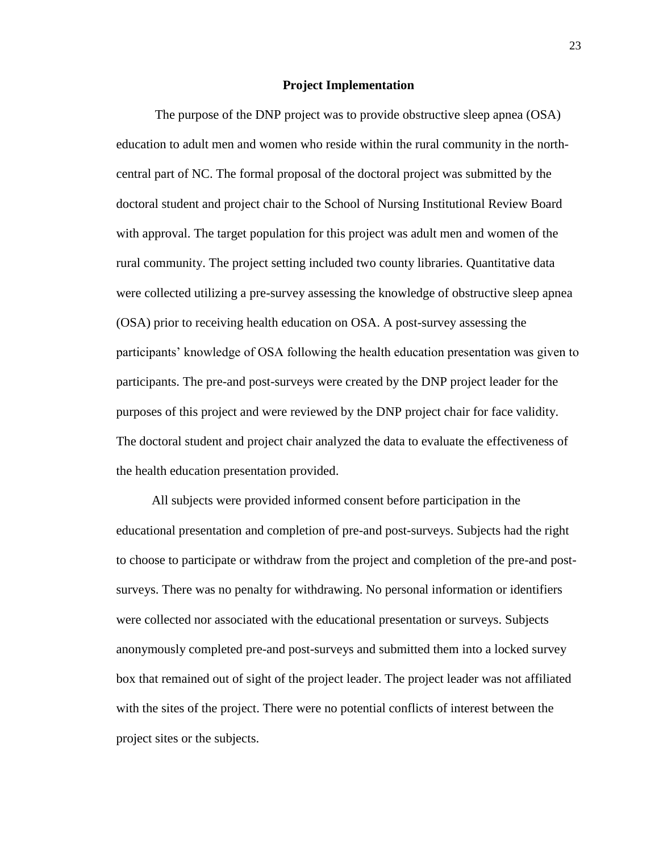#### **Project Implementation**

The purpose of the DNP project was to provide obstructive sleep apnea (OSA) education to adult men and women who reside within the rural community in the northcentral part of NC. The formal proposal of the doctoral project was submitted by the doctoral student and project chair to the School of Nursing Institutional Review Board with approval. The target population for this project was adult men and women of the rural community. The project setting included two county libraries. Quantitative data were collected utilizing a pre-survey assessing the knowledge of obstructive sleep apnea (OSA) prior to receiving health education on OSA. A post-survey assessing the participants' knowledge of OSA following the health education presentation was given to participants. The pre-and post-surveys were created by the DNP project leader for the purposes of this project and were reviewed by the DNP project chair for face validity. The doctoral student and project chair analyzed the data to evaluate the effectiveness of the health education presentation provided.

All subjects were provided informed consent before participation in the educational presentation and completion of pre-and post-surveys. Subjects had the right to choose to participate or withdraw from the project and completion of the pre-and postsurveys. There was no penalty for withdrawing. No personal information or identifiers were collected nor associated with the educational presentation or surveys. Subjects anonymously completed pre-and post-surveys and submitted them into a locked survey box that remained out of sight of the project leader. The project leader was not affiliated with the sites of the project. There were no potential conflicts of interest between the project sites or the subjects.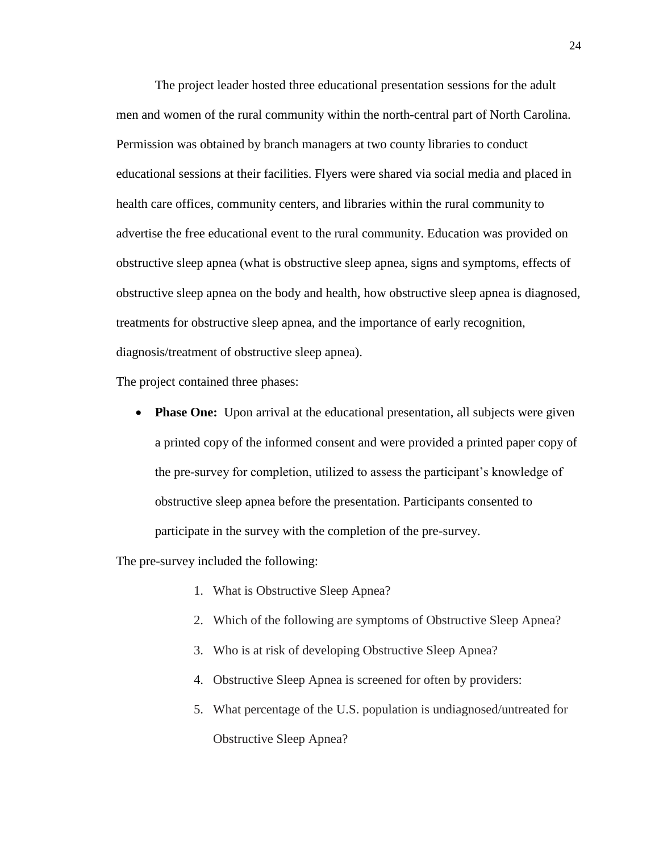The project leader hosted three educational presentation sessions for the adult men and women of the rural community within the north-central part of North Carolina. Permission was obtained by branch managers at two county libraries to conduct educational sessions at their facilities. Flyers were shared via social media and placed in health care offices, community centers, and libraries within the rural community to advertise the free educational event to the rural community. Education was provided on obstructive sleep apnea (what is obstructive sleep apnea, signs and symptoms, effects of obstructive sleep apnea on the body and health, how obstructive sleep apnea is diagnosed, treatments for obstructive sleep apnea, and the importance of early recognition, diagnosis/treatment of obstructive sleep apnea).

The project contained three phases:

• **Phase One:** Upon arrival at the educational presentation, all subjects were given a printed copy of the informed consent and were provided a printed paper copy of the pre-survey for completion, utilized to assess the participant's knowledge of obstructive sleep apnea before the presentation. Participants consented to participate in the survey with the completion of the pre-survey.

The pre-survey included the following:

- 1. What is Obstructive Sleep Apnea?
- 2. Which of the following are symptoms of Obstructive Sleep Apnea?
- 3. Who is at risk of developing Obstructive Sleep Apnea?
- 4. Obstructive Sleep Apnea is screened for often by providers:
- 5. What percentage of the U.S. population is undiagnosed/untreated for Obstructive Sleep Apnea?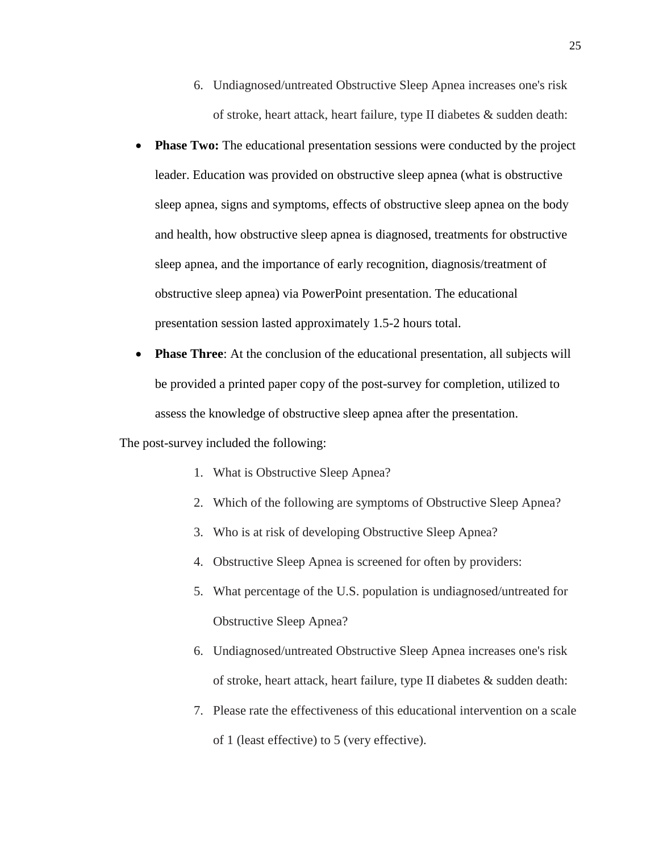- 6. Undiagnosed/untreated Obstructive Sleep Apnea increases one's risk of stroke, heart attack, heart failure, type II diabetes & sudden death:
- **Phase Two:** The educational presentation sessions were conducted by the project leader. Education was provided on obstructive sleep apnea (what is obstructive sleep apnea, signs and symptoms, effects of obstructive sleep apnea on the body and health, how obstructive sleep apnea is diagnosed, treatments for obstructive sleep apnea, and the importance of early recognition, diagnosis/treatment of obstructive sleep apnea) via PowerPoint presentation. The educational presentation session lasted approximately 1.5-2 hours total.
- **Phase Three:** At the conclusion of the educational presentation, all subjects will be provided a printed paper copy of the post-survey for completion, utilized to assess the knowledge of obstructive sleep apnea after the presentation.

The post-survey included the following:

- 1. What is Obstructive Sleep Apnea?
- 2. Which of the following are symptoms of Obstructive Sleep Apnea?
- 3. Who is at risk of developing Obstructive Sleep Apnea?
- 4. Obstructive Sleep Apnea is screened for often by providers:
- 5. What percentage of the U.S. population is undiagnosed/untreated for Obstructive Sleep Apnea?
- 6. Undiagnosed/untreated Obstructive Sleep Apnea increases one's risk of stroke, heart attack, heart failure, type II diabetes & sudden death:
- 7. Please rate the effectiveness of this educational intervention on a scale of 1 (least effective) to 5 (very effective).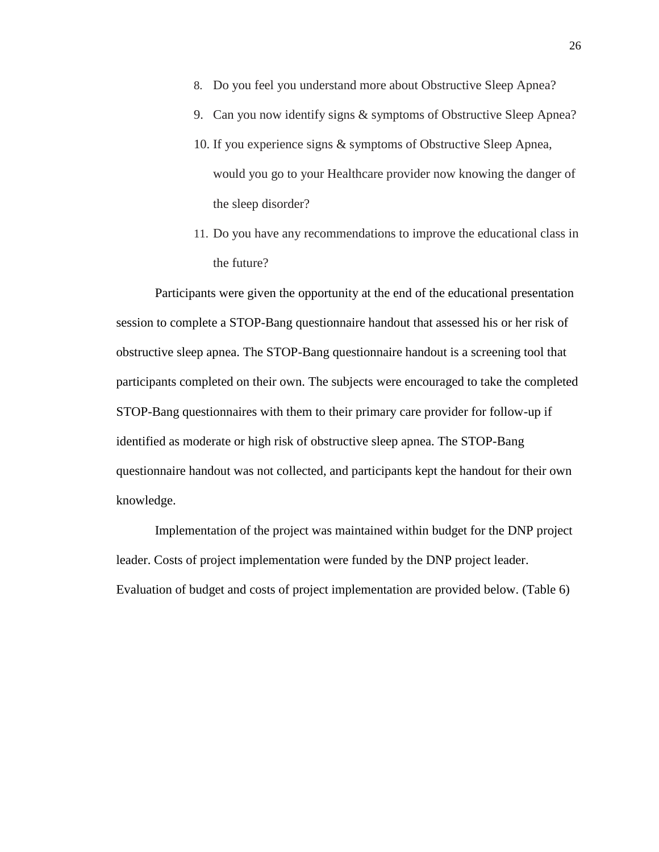- 8. Do you feel you understand more about Obstructive Sleep Apnea?
- 9. Can you now identify signs & symptoms of Obstructive Sleep Apnea?
- 10. If you experience signs & symptoms of Obstructive Sleep Apnea, would you go to your Healthcare provider now knowing the danger of the sleep disorder?
- 11. Do you have any recommendations to improve the educational class in the future?

Participants were given the opportunity at the end of the educational presentation session to complete a STOP-Bang questionnaire handout that assessed his or her risk of obstructive sleep apnea. The STOP-Bang questionnaire handout is a screening tool that participants completed on their own. The subjects were encouraged to take the completed STOP-Bang questionnaires with them to their primary care provider for follow-up if identified as moderate or high risk of obstructive sleep apnea. The STOP-Bang questionnaire handout was not collected, and participants kept the handout for their own knowledge.

Implementation of the project was maintained within budget for the DNP project leader. Costs of project implementation were funded by the DNP project leader. Evaluation of budget and costs of project implementation are provided below. (Table 6)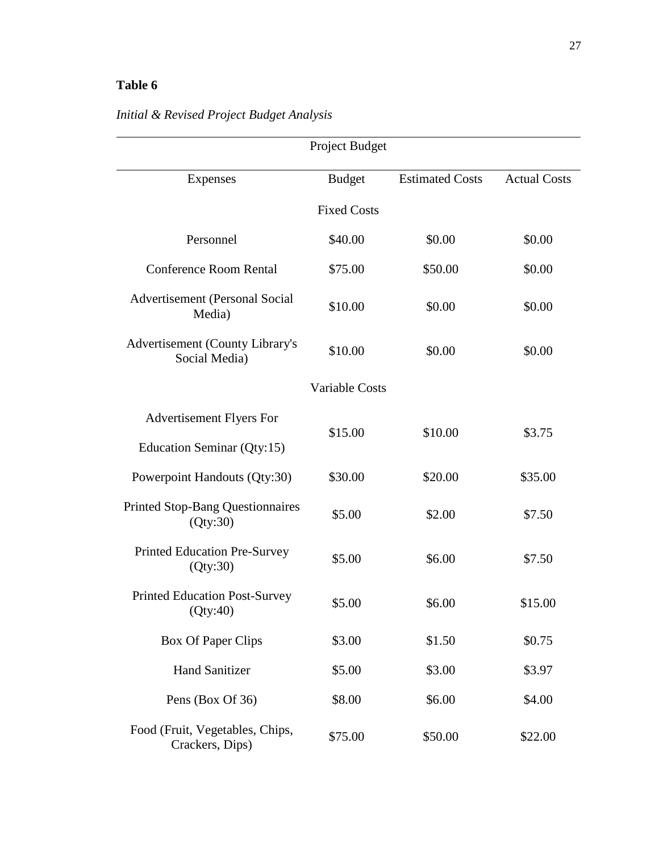# **Table 6**

|                                                         | Project Budget        |                        |                     |
|---------------------------------------------------------|-----------------------|------------------------|---------------------|
| <b>Expenses</b>                                         | <b>Budget</b>         | <b>Estimated Costs</b> | <b>Actual Costs</b> |
|                                                         | <b>Fixed Costs</b>    |                        |                     |
| Personnel                                               | \$40.00               | \$0.00                 | \$0.00              |
| <b>Conference Room Rental</b>                           | \$75.00               | \$50.00                | \$0.00              |
| <b>Advertisement (Personal Social</b><br>Media)         | \$10.00               | \$0.00                 | \$0.00              |
| <b>Advertisement (County Library's</b><br>Social Media) | \$10.00               | \$0.00                 | \$0.00              |
|                                                         | <b>Variable Costs</b> |                        |                     |
| <b>Advertisement Flyers For</b>                         | \$15.00               |                        |                     |
| Education Seminar (Qty:15)                              |                       | \$10.00                | \$3.75              |
| Powerpoint Handouts (Qty:30)                            | \$30.00               | \$20.00                | \$35.00             |
| <b>Printed Stop-Bang Questionnaires</b><br>(Qty:30)     | \$5.00                | \$2.00                 | \$7.50              |
| <b>Printed Education Pre-Survey</b><br>(Qty:30)         | \$5.00                | \$6.00                 | \$7.50              |
| <b>Printed Education Post-Survey</b><br>(Qty:40)        | \$5.00                | \$6.00                 | \$15.00             |
| <b>Box Of Paper Clips</b>                               | \$3.00                | \$1.50                 | \$0.75              |
| <b>Hand Sanitizer</b>                                   | \$5.00                | \$3.00                 | \$3.97              |
| Pens (Box Of 36)                                        | \$8.00                | \$6.00                 | \$4.00              |
| Food (Fruit, Vegetables, Chips,<br>Crackers, Dips)      | \$75.00               | \$50.00                | \$22.00             |

# *Initial & Revised Project Budget Analysis*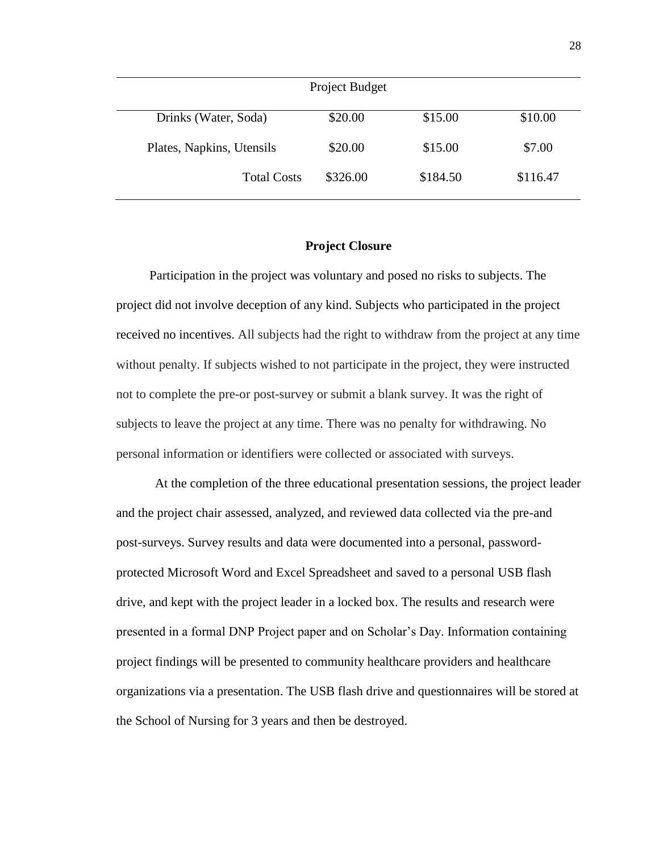| Project Budget            |          |          |          |
|---------------------------|----------|----------|----------|
| Drinks (Water, Soda)      | \$20.00  | \$15.00  | \$10.00  |
| Plates, Napkins, Utensils | \$20.00  | \$15.00  | \$7.00   |
| <b>Total Costs</b>        | \$326.00 | \$184.50 | \$116.47 |

### **Project Closure**

Participation in the project was voluntary and posed no risks to subjects. The project did not involve deception of any kind. Subjects who participated in the project received no incentives. All subjects had the right to withdraw from the project at any time without penalty. If subjects wished to not participate in the project, they were instructed not to complete the pre-or post-survey or submit a blank survey. It was the right of subjects to leave the project at any time. There was no penalty for withdrawing. No personal information or identifiers were collected or associated with surveys.

At the completion of the three educational presentation sessions, the project leader and the project chair assessed, analyzed, and reviewed data collected via the pre-and post-surveys. Survey results and data were documented into a personal, passwordprotected Microsoft Word and Excel Spreadsheet and saved to a personal USB flash drive, and kept with the project leader in a locked box. The results and research were presented in a formal DNP Project paper and on Scholar's Day. Information containing project findings will be presented to community healthcare providers and healthcare organizations via a presentation. The USB flash drive and questionnaires will be stored at the School of Nursing for 3 years and then be destroyed.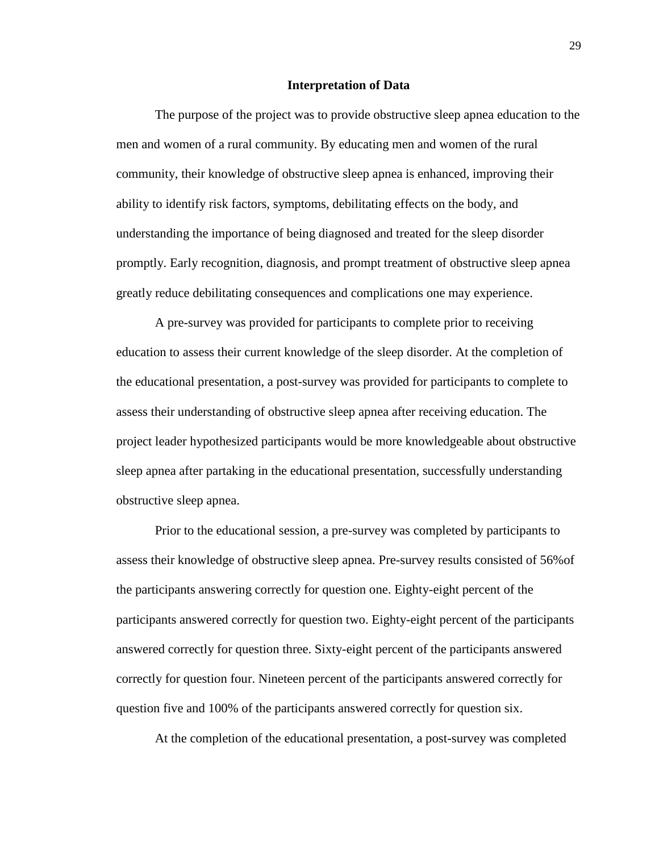#### **Interpretation of Data**

The purpose of the project was to provide obstructive sleep apnea education to the men and women of a rural community. By educating men and women of the rural community, their knowledge of obstructive sleep apnea is enhanced, improving their ability to identify risk factors, symptoms, debilitating effects on the body, and understanding the importance of being diagnosed and treated for the sleep disorder promptly. Early recognition, diagnosis, and prompt treatment of obstructive sleep apnea greatly reduce debilitating consequences and complications one may experience.

A pre-survey was provided for participants to complete prior to receiving education to assess their current knowledge of the sleep disorder. At the completion of the educational presentation, a post-survey was provided for participants to complete to assess their understanding of obstructive sleep apnea after receiving education. The project leader hypothesized participants would be more knowledgeable about obstructive sleep apnea after partaking in the educational presentation, successfully understanding obstructive sleep apnea.

Prior to the educational session, a pre-survey was completed by participants to assess their knowledge of obstructive sleep apnea. Pre-survey results consisted of 56%of the participants answering correctly for question one. Eighty-eight percent of the participants answered correctly for question two. Eighty-eight percent of the participants answered correctly for question three. Sixty-eight percent of the participants answered correctly for question four. Nineteen percent of the participants answered correctly for question five and 100% of the participants answered correctly for question six.

At the completion of the educational presentation, a post-survey was completed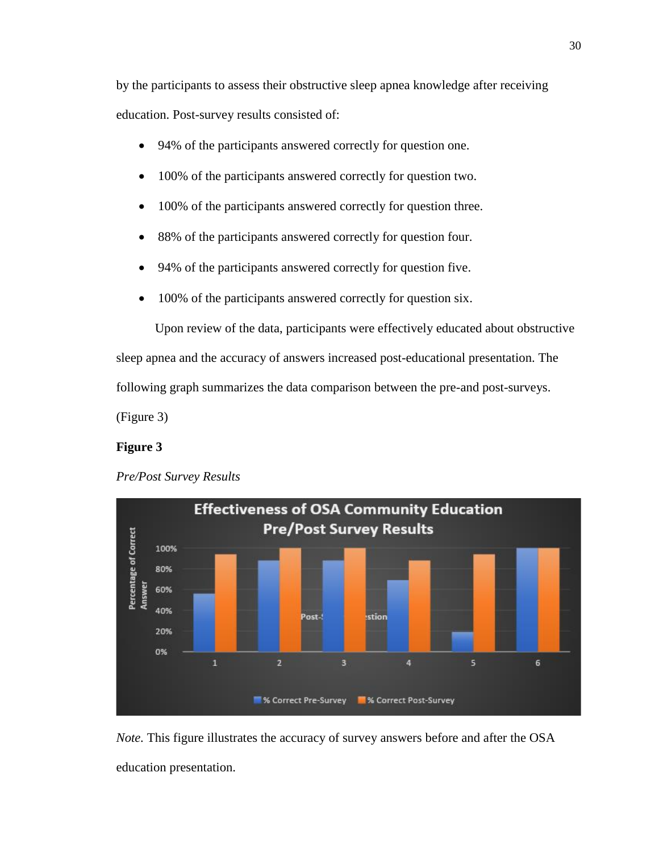by the participants to assess their obstructive sleep apnea knowledge after receiving education. Post-survey results consisted of:

- 94% of the participants answered correctly for question one.
- 100% of the participants answered correctly for question two.
- 100% of the participants answered correctly for question three.
- 88% of the participants answered correctly for question four.
- 94% of the participants answered correctly for question five.
- 100% of the participants answered correctly for question six.

Upon review of the data, participants were effectively educated about obstructive sleep apnea and the accuracy of answers increased post-educational presentation. The following graph summarizes the data comparison between the pre-and post-surveys.

(Figure 3)

# **Figure 3**

# *Pre/Post Survey Results*



*Note*. This figure illustrates the accuracy of survey answers before and after the OSA education presentation.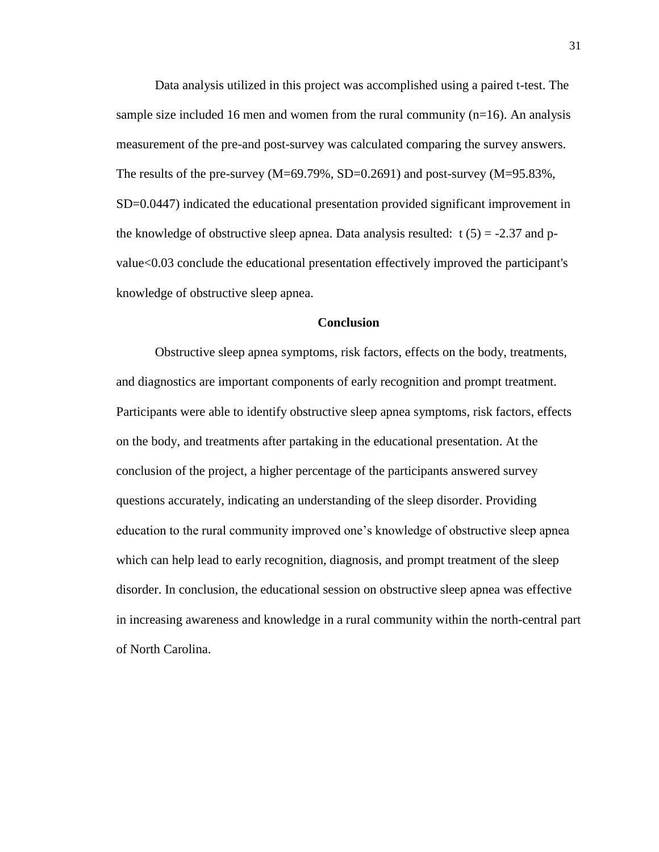Data analysis utilized in this project was accomplished using a paired t-test. The sample size included 16 men and women from the rural community  $(n=16)$ . An analysis measurement of the pre-and post-survey was calculated comparing the survey answers. The results of the pre-survey (M=69.79%, SD=0.2691) and post-survey (M=95.83%, SD=0.0447) indicated the educational presentation provided significant improvement in the knowledge of obstructive sleep apnea. Data analysis resulted:  $t(5) = -2.37$  and pvalue<0.03 conclude the educational presentation effectively improved the participant's knowledge of obstructive sleep apnea.

#### **Conclusion**

Obstructive sleep apnea symptoms, risk factors, effects on the body, treatments, and diagnostics are important components of early recognition and prompt treatment. Participants were able to identify obstructive sleep apnea symptoms, risk factors, effects on the body, and treatments after partaking in the educational presentation. At the conclusion of the project, a higher percentage of the participants answered survey questions accurately, indicating an understanding of the sleep disorder. Providing education to the rural community improved one's knowledge of obstructive sleep apnea which can help lead to early recognition, diagnosis, and prompt treatment of the sleep disorder. In conclusion, the educational session on obstructive sleep apnea was effective in increasing awareness and knowledge in a rural community within the north-central part of North Carolina.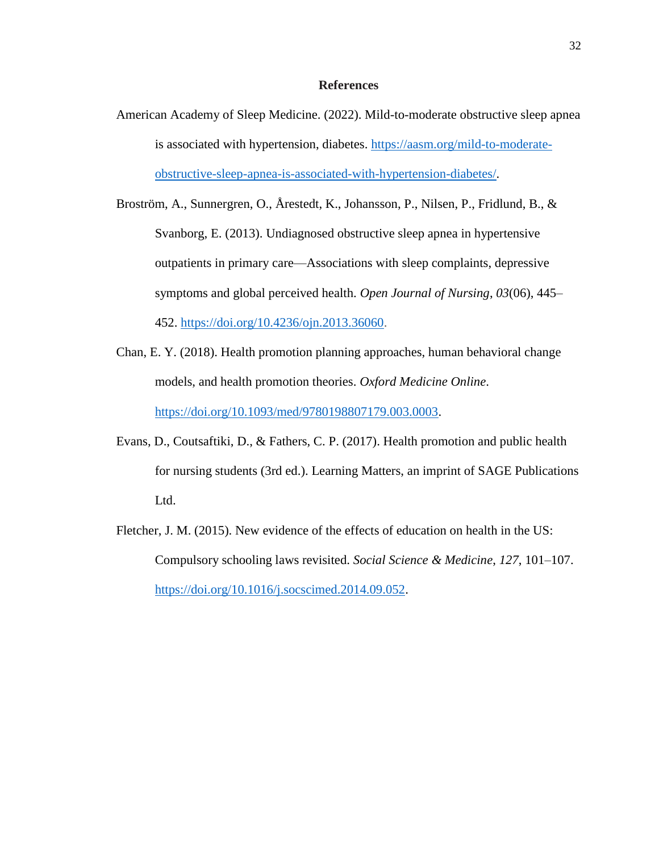#### **References**

- American Academy of Sleep Medicine. (2022). Mild-to-moderate obstructive sleep apnea is associated with hypertension, diabetes. [https://aasm.org/mild-to-moderate](https://aasm.org/mild-to-moderate-obstructive-sleep-apnea-is-associated-with-hypertension-diabetes/)[obstructive-sleep-apnea-is-associated-with-hypertension-diabetes/.](https://aasm.org/mild-to-moderate-obstructive-sleep-apnea-is-associated-with-hypertension-diabetes/)
- Broström, A., Sunnergren, O., Årestedt, K., Johansson, P., Nilsen, P., Fridlund, B., & Svanborg, E. (2013). Undiagnosed obstructive sleep apnea in hypertensive outpatients in primary care—Associations with sleep complaints, depressive symptoms and global perceived health. *Open Journal of Nursing*, *03*(06), 445– 452. [https://doi.org/10.4236/ojn.2013.36060.](https://doi.org/10.4236/ojn.2013.36060)
- Chan, E. Y. (2018). Health promotion planning approaches, human behavioral change models, and health promotion theories. *Oxford Medicine Online*. [https://doi.org/10.1093/med/9780198807179.003.0003.](https://doi.org/10.1093/med/9780198807179.003.0003)
- Evans, D., Coutsaftiki, D., & Fathers, C. P. (2017). Health promotion and public health for nursing students (3rd ed.). Learning Matters, an imprint of SAGE Publications Ltd.
- Fletcher, J. M. (2015). New evidence of the effects of education on health in the US: Compulsory schooling laws revisited. *Social Science & Medicine*, *127*, 101–107. [https://doi.org/10.1016/j.socscimed.2014.09.052.](https://doi.org/10.1016/j.socscimed.2014.09.052)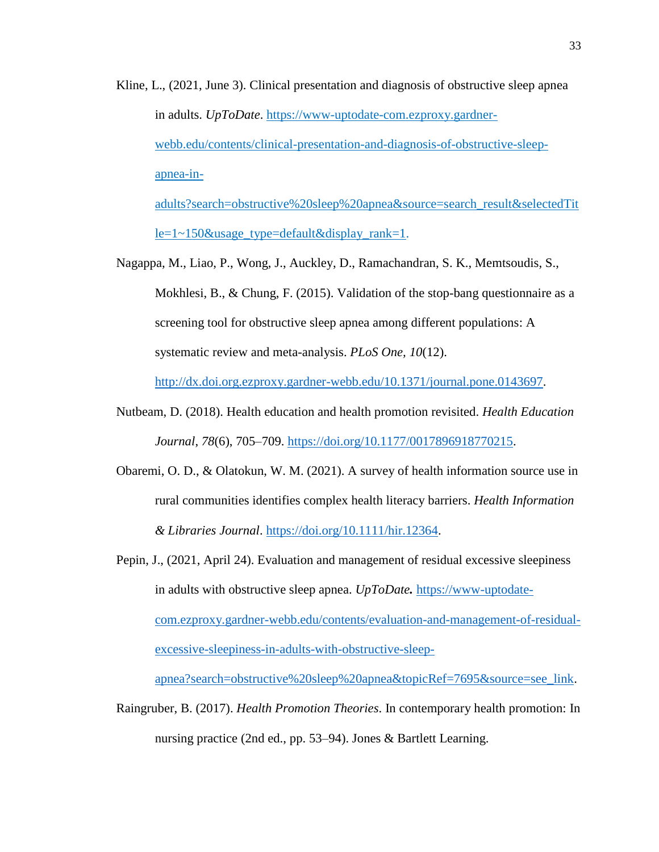Kline, L., (2021, June 3). Clinical presentation and diagnosis of obstructive sleep apnea in adults. *UpToDate*. [https://www-uptodate-com.ezproxy.gardner](https://www-uptodate-com.ezproxy.gardner-webb.edu/contents/clinical-presentation-and-diagnosis-of-obstructive-sleep-apnea-in-%20adults?search=obstructive%20sleep%20apnea&source=search_result&selectedTitle=1~150&usage_type=default&display_rank=1)[webb.edu/contents/clinical-presentation-and-diagnosis-of-obstructive-sleep](https://www-uptodate-com.ezproxy.gardner-webb.edu/contents/clinical-presentation-and-diagnosis-of-obstructive-sleep-apnea-in-%20adults?search=obstructive%20sleep%20apnea&source=search_result&selectedTitle=1~150&usage_type=default&display_rank=1)[apnea-in](https://www-uptodate-com.ezproxy.gardner-webb.edu/contents/clinical-presentation-and-diagnosis-of-obstructive-sleep-apnea-in-%20adults?search=obstructive%20sleep%20apnea&source=search_result&selectedTitle=1~150&usage_type=default&display_rank=1)[adults?search=obstructive%20sleep%20apnea&source=search\\_result&selectedTit](https://www-uptodate-com.ezproxy.gardner-webb.edu/contents/clinical-presentation-and-diagnosis-of-obstructive-sleep-apnea-in-%20adults?search=obstructive%20sleep%20apnea&source=search_result&selectedTitle=1~150&usage_type=default&display_rank=1)

[le=1~150&usage\\_type=default&display\\_rank=1.](https://www-uptodate-com.ezproxy.gardner-webb.edu/contents/clinical-presentation-and-diagnosis-of-obstructive-sleep-apnea-in-%20adults?search=obstructive%20sleep%20apnea&source=search_result&selectedTitle=1~150&usage_type=default&display_rank=1)

Nagappa, M., Liao, P., Wong, J., Auckley, D., Ramachandran, S. K., Memtsoudis, S., Mokhlesi, B., & Chung, F. (2015). Validation of the stop-bang questionnaire as a screening tool for obstructive sleep apnea among different populations: A systematic review and meta-analysis. *PLoS One, 10*(12).

[http://dx.doi.org.ezproxy.gardner-webb.edu/10.1371/journal.pone.0143697.](http://dx.doi.org.ezproxy.gardner-webb.edu/10.1371/journal.pone.0143697)

- Nutbeam, D. (2018). Health education and health promotion revisited. *Health Education Journal*, *78*(6), 705–709. [https://doi.org/10.1177/0017896918770215.](https://doi.org/10.1177/0017896918770215)
- Obaremi, O. D., & Olatokun, W. M. (2021). A survey of health information source use in rural communities identifies complex health literacy barriers. *Health Information & Libraries Journal*. [https://doi.org/10.1111/hir.12364.](https://doi.org/10.1111/hir.12364)
- Pepin, J., (2021, April 24). Evaluation and management of residual excessive sleepiness in adults with obstructive sleep apnea. *UpToDate.* [https://www-uptodate](https://www-uptodate-com.ezproxy.gardner-webb.edu/contents/evaluation-and-management-of-residual-excessive-sleepiness-in-adults-with-obstructive-sleep-apnea?search=obstructive%20sleep%20apnea&topicRef=7695&source=see_link)[com.ezproxy.gardner-webb.edu/contents/evaluation-and-management-of-residual](https://www-uptodate-com.ezproxy.gardner-webb.edu/contents/evaluation-and-management-of-residual-excessive-sleepiness-in-adults-with-obstructive-sleep-apnea?search=obstructive%20sleep%20apnea&topicRef=7695&source=see_link)[excessive-sleepiness-in-adults-with-obstructive-sleep-](https://www-uptodate-com.ezproxy.gardner-webb.edu/contents/evaluation-and-management-of-residual-excessive-sleepiness-in-adults-with-obstructive-sleep-apnea?search=obstructive%20sleep%20apnea&topicRef=7695&source=see_link)

[apnea?search=obstructive%20sleep%20apnea&topicRef=7695&source=see\\_link.](https://www-uptodate-com.ezproxy.gardner-webb.edu/contents/evaluation-and-management-of-residual-excessive-sleepiness-in-adults-with-obstructive-sleep-apnea?search=obstructive%20sleep%20apnea&topicRef=7695&source=see_link)

Raingruber, B. (2017). *Health Promotion Theories*. In contemporary health promotion: In nursing practice (2nd ed., pp. 53–94). Jones & Bartlett Learning.